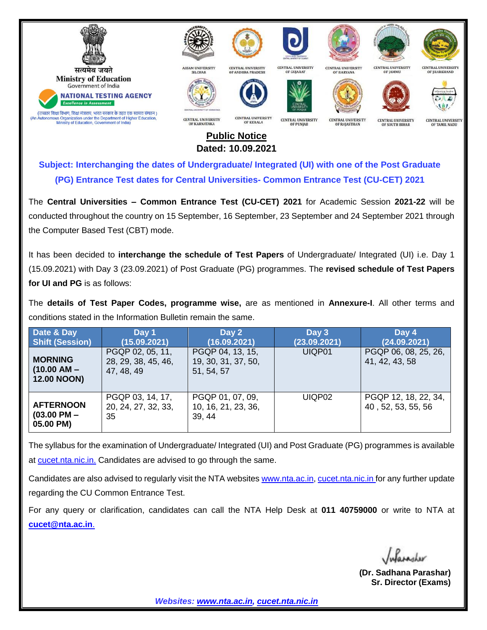

## **Public Notice Dated: 10.09.2021**

**Subject: Interchanging the dates of Undergraduate/ Integrated (UI) with one of the Post Graduate (PG) Entrance Test dates for Central Universities- Common Entrance Test (CU-CET) 2021**

The **Central Universities – Common Entrance Test (CU-CET) 2021** for Academic Session **2021-22** will be conducted throughout the country on 15 September, 16 September, 23 September and 24 September 2021 through the Computer Based Test (CBT) mode.

It has been decided to **interchange the schedule of Test Papers** of Undergraduate/ Integrated (UI) i.e. Day 1 (15.09.2021) with Day 3 (23.09.2021) of Post Graduate (PG) programmes. The **revised schedule of Test Papers for UI and PG** is as follows:

The **details of Test Paper Codes, programme wise,** are as mentioned in **Annexure-I**. All other terms and conditions stated in the Information Bulletin remain the same.

| Date & Day<br><b>Shift (Session)</b>                  | Day 1<br>(15.09.2021)                                 | Day 2<br>(16.09.2021)                                 | Day 3<br>(23.09.2021) | Day 4<br>(24.09.2021)                      |
|-------------------------------------------------------|-------------------------------------------------------|-------------------------------------------------------|-----------------------|--------------------------------------------|
| <b>MORNING</b><br>$(10.00 AM -$<br><b>12.00 NOON)</b> | PGQP 02, 05, 11,<br>28, 29, 38, 45, 46,<br>47, 48, 49 | PGQP 04, 13, 15,<br>19, 30, 31, 37, 50,<br>51, 54, 57 | UIQP01                | PGQP 06, 08, 25, 26,<br>41, 42, 43, 58     |
| <b>AFTERNOON</b><br>$(03.00$ PM $-$<br>05.00 PM)      | PGQP 03, 14, 17,<br>20, 24, 27, 32, 33,<br>35         | PGQP 01, 07, 09,<br>10, 16, 21, 23, 36,<br>39, 44     | UIQP02                | PGQP 12, 18, 22, 34,<br>40, 52, 53, 55, 56 |

The syllabus for the examination of Undergraduate/ Integrated (UI) and Post Graduate (PG) programmes is available at [cucet.nta.nic.in.](https://cucet.nta.nic.in/) Candidates are advised to go through the same.

Candidates are also advised to regularly visit the NTA websites [www.nta.ac.in,](http://www.nta.ac.in/) [cucet.nta.nic.in](https://cucet.nta.nic.in/) for any further update regarding the CU Common Entrance Test.

For any query or clarification, candidates can call the NTA Help Desk at **011 40759000** or write to NTA at **[cucet@nta.ac.in](mailto:cucet@nta.ac.in)**.

 **(Dr. Sadhana Parashar) Sr. Director (Exams)**

*Websites: [www.nta.ac.in,](http://www.nta.ac.in/) [cucet.nta.nic.in](https://cucet.nta.nic.in/)*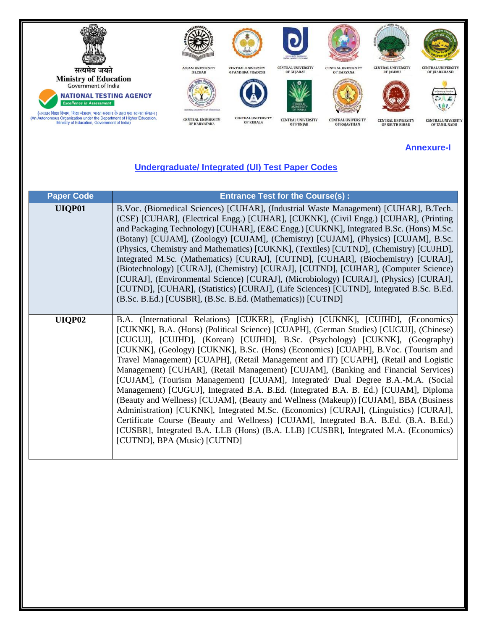

## **Annexure-I**

## **Undergraduate/ Integrated (UI) Test Paper Codes**

| <b>Paper Code</b> | <b>Entrance Test for the Course(s):</b>                                                                                                                                                                                                                                                                                                                                                                                                                                                                                                                                                                                                                                                                                                                                                                                                                                                                                                                                                                                                                                                                |  |  |
|-------------------|--------------------------------------------------------------------------------------------------------------------------------------------------------------------------------------------------------------------------------------------------------------------------------------------------------------------------------------------------------------------------------------------------------------------------------------------------------------------------------------------------------------------------------------------------------------------------------------------------------------------------------------------------------------------------------------------------------------------------------------------------------------------------------------------------------------------------------------------------------------------------------------------------------------------------------------------------------------------------------------------------------------------------------------------------------------------------------------------------------|--|--|
| UIQP01            | B.Voc. (Biomedical Sciences) [CUHAR], (Industrial Waste Management) [CUHAR], B.Tech.<br>(CSE) [CUHAR], (Electrical Engg.) [CUHAR], [CUKNK], (Civil Engg.) [CUHAR], (Printing<br>and Packaging Technology) [CUHAR], (E&C Engg.) [CUKNK], Integrated B.Sc. (Hons) M.Sc.<br>(Botany) [CUJAM], (Zoology) [CUJAM], (Chemistry) [CUJAM], (Physics) [CUJAM], B.Sc.<br>(Physics, Chemistry and Mathematics) [CUKNK], (Textiles) [CUTND], (Chemistry) [CUJHD],<br>Integrated M.Sc. (Mathematics) [CURAJ], [CUTND], [CUHAR], (Biochemistry) [CURAJ],<br>(Biotechnology) [CURAJ], (Chemistry) [CURAJ], [CUTND], [CUHAR], (Computer Science)<br>[CURAJ], (Environmental Science) [CURAJ], (Microbiology) [CURAJ], (Physics) [CURAJ],<br>[CUTND], [CUHAR], (Statistics) [CURAJ], (Life Sciences) [CUTND], Integrated B.Sc. B.Ed.<br>(B.Sc. B.Ed.) [CUSBR], (B.Sc. B.Ed. (Mathematics)) [CUTND]                                                                                                                                                                                                                      |  |  |
| UIQP02            | B.A. (International Relations) [CUKER], (English) [CUKNK], [CUJHD], (Economics)<br>[CUKNK], B.A. (Hons) (Political Science) [CUAPH], (German Studies) [CUGUJ], (Chinese)<br>[CUGUJ], [CUJHD], (Korean) [CUJHD], B.Sc. (Psychology) [CUKNK], (Geography)<br>[CUKNK], (Geology) [CUKNK], B.Sc. (Hons) (Economics) [CUAPH], B.Voc. (Tourism and<br>Travel Management) [CUAPH], (Retail Management and IT) [CUAPH], (Retail and Logistic<br>Management) [CUHAR], (Retail Management) [CUJAM], (Banking and Financial Services)<br>[CUJAM], (Tourism Management) [CUJAM], Integrated/ Dual Degree B.A.-M.A. (Social<br>Management) [CUGUJ], Integrated B.A. B.Ed. (Integrated B.A. B. Ed.) [CUJAM], Diploma<br>(Beauty and Wellness) [CUJAM], (Beauty and Wellness (Makeup)) [CUJAM], BBA (Business<br>Administration) [CUKNK], Integrated M.Sc. (Economics) [CURAJ], (Linguistics) [CURAJ],<br>Certificate Course (Beauty and Wellness) [CUJAM], Integrated B.A. B.Ed. (B.A. B.Ed.)<br>[CUSBR], Integrated B.A. LLB (Hons) (B.A. LLB) [CUSBR], Integrated M.A. (Economics)<br>[CUTND], BPA (Music) [CUTND] |  |  |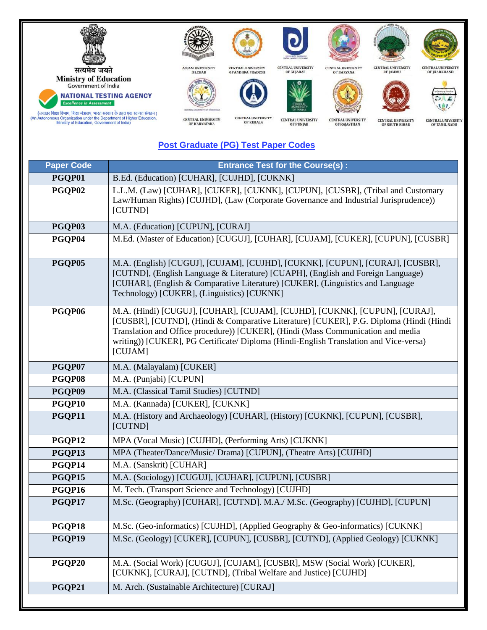

## **Post Graduate (PG) Test Paper Codes**

| <b>Paper Code</b> | <b>Entrance Test for the Course(s):</b>                                                                                                                                                                                                                                                                                                                        |  |
|-------------------|----------------------------------------------------------------------------------------------------------------------------------------------------------------------------------------------------------------------------------------------------------------------------------------------------------------------------------------------------------------|--|
| PGQP01            | B.Ed. (Education) [CUHAR], [CUJHD], [CUKNK]                                                                                                                                                                                                                                                                                                                    |  |
| PGQP02            | L.L.M. (Law) [CUHAR], [CUKER], [CUKNK], [CUPUN], [CUSBR], (Tribal and Customary<br>Law/Human Rights) [CUJHD], (Law (Corporate Governance and Industrial Jurisprudence))<br>[CUTND]                                                                                                                                                                             |  |
| PGQP03            | M.A. (Education) [CUPUN], [CURAJ]                                                                                                                                                                                                                                                                                                                              |  |
| PGQP04            | M.Ed. (Master of Education) [CUGUJ], [CUHAR], [CUJAM], [CUKER], [CUPUN], [CUSBR]                                                                                                                                                                                                                                                                               |  |
| PGQP05            | M.A. (English) [CUGUJ], [CUJAM], [CUJHD], [CUKNK], [CUPUN], [CURAJ], [CUSBR],<br>[CUTND], (English Language & Literature) [CUAPH], (English and Foreign Language)<br>[CUHAR], (English & Comparative Literature) [CUKER], (Linguistics and Language<br>Technology) [CUKER], (Linguistics) [CUKNK]                                                              |  |
| PGQP06            | M.A. (Hindi) [CUGUJ], [CUHAR], [CUJAM], [CUJHD], [CUKNK], [CUPUN], [CURAJ],<br>[CUSBR], [CUTND], (Hindi & Comparative Literature) [CUKER], P.G. Diploma (Hindi (Hindi)<br>Translation and Office procedure)) [CUKER], (Hindi (Mass Communication and media<br>writing)) [CUKER], PG Certificate/ Diploma (Hindi-English Translation and Vice-versa)<br>[CUJAM] |  |
| PGQP07            | M.A. (Malayalam) [CUKER]                                                                                                                                                                                                                                                                                                                                       |  |
| PGQP08            | M.A. (Punjabi) [CUPUN]                                                                                                                                                                                                                                                                                                                                         |  |
| PGQP09            | M.A. (Classical Tamil Studies) [CUTND]                                                                                                                                                                                                                                                                                                                         |  |
| PGQP10            | M.A. (Kannada) [CUKER], [CUKNK]                                                                                                                                                                                                                                                                                                                                |  |
| PGQP11            | M.A. (History and Archaeology) [CUHAR], (History) [CUKNK], [CUPUN], [CUSBR],<br>[CUTND]                                                                                                                                                                                                                                                                        |  |
| PGQP12            | MPA (Vocal Music) [CUJHD], (Performing Arts) [CUKNK]                                                                                                                                                                                                                                                                                                           |  |
| PGQP13            | MPA (Theater/Dance/Music/ Drama) [CUPUN], (Theatre Arts) [CUJHD]                                                                                                                                                                                                                                                                                               |  |
| PGQP14            | M.A. (Sanskrit) [CUHAR]                                                                                                                                                                                                                                                                                                                                        |  |
| PGQP15            | M.A. (Sociology) [CUGUJ], [CUHAR], [CUPUN], [CUSBR]                                                                                                                                                                                                                                                                                                            |  |
| PGQP16            | M. Tech. (Transport Science and Technology) [CUJHD]                                                                                                                                                                                                                                                                                                            |  |
| PGQP17            | M.Sc. (Geography) [CUHAR], [CUTND]. M.A./ M.Sc. (Geography) [CUJHD], [CUPUN]                                                                                                                                                                                                                                                                                   |  |
| PGQP18            | M.Sc. (Geo-informatics) [CUJHD], (Applied Geography & Geo-informatics) [CUKNK]                                                                                                                                                                                                                                                                                 |  |
| PGQP19            | M.Sc. (Geology) [CUKER], [CUPUN], [CUSBR], [CUTND], (Applied Geology) [CUKNK]                                                                                                                                                                                                                                                                                  |  |
| PGQP20            | M.A. (Social Work) [CUGUJ], [CUJAM], [CUSBR], MSW (Social Work) [CUKER],<br>[CUKNK], [CURAJ], [CUTND], (Tribal Welfare and Justice) [CUJHD]                                                                                                                                                                                                                    |  |
| PGQP21            | M. Arch. (Sustainable Architecture) [CURAJ]                                                                                                                                                                                                                                                                                                                    |  |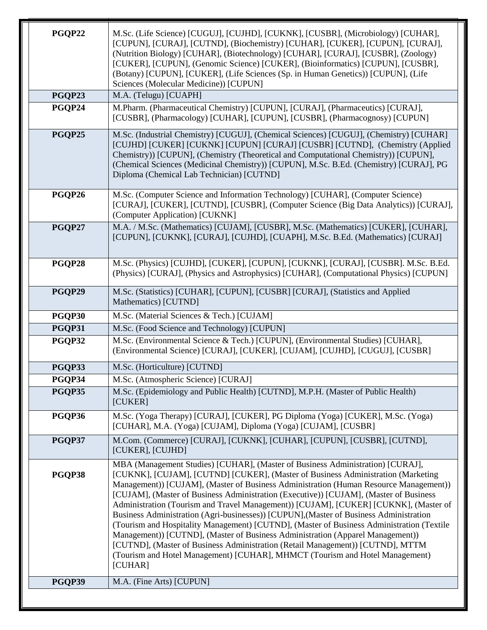| PGQP23<br>PGQP24<br>PGQP25 | M.A. (Telugu) [CUAPH]<br>M.Pharm. (Pharmaceutical Chemistry) [CUPUN], [CURAJ], (Pharmaceutics) [CURAJ],<br>[CUSBR], (Pharmacology) [CUHAR], [CUPUN], [CUSBR], (Pharmacognosy) [CUPUN]<br>M.Sc. (Industrial Chemistry) [CUGUJ], (Chemical Sciences) [CUGUJ], (Chemistry) [CUHAR]<br>[CUJHD] [CUKER] [CUKNK] [CUPUN] [CURAJ] [CUSBR] [CUTND], (Chemistry (Applied                                                                                                                                                                                                                                                                                                                                                                                                                                                                                                                         |  |
|----------------------------|-----------------------------------------------------------------------------------------------------------------------------------------------------------------------------------------------------------------------------------------------------------------------------------------------------------------------------------------------------------------------------------------------------------------------------------------------------------------------------------------------------------------------------------------------------------------------------------------------------------------------------------------------------------------------------------------------------------------------------------------------------------------------------------------------------------------------------------------------------------------------------------------|--|
|                            |                                                                                                                                                                                                                                                                                                                                                                                                                                                                                                                                                                                                                                                                                                                                                                                                                                                                                         |  |
|                            |                                                                                                                                                                                                                                                                                                                                                                                                                                                                                                                                                                                                                                                                                                                                                                                                                                                                                         |  |
|                            | Chemistry)) [CUPUN], (Chemistry (Theoretical and Computational Chemistry)) [CUPUN],<br>(Chemical Sciences (Medicinal Chemistry)) [CUPUN], M.Sc. B.Ed. (Chemistry) [CURAJ], PG<br>Diploma (Chemical Lab Technician) [CUTND]                                                                                                                                                                                                                                                                                                                                                                                                                                                                                                                                                                                                                                                              |  |
| PGQP26                     | M.Sc. (Computer Science and Information Technology) [CUHAR], (Computer Science)<br>[CURAJ], [CUKER], [CUTND], [CUSBR], (Computer Science (Big Data Analytics)) [CURAJ],<br>(Computer Application) [CUKNK]                                                                                                                                                                                                                                                                                                                                                                                                                                                                                                                                                                                                                                                                               |  |
| PGQP27                     | M.A. / M.Sc. (Mathematics) [CUJAM], [CUSBR], M.Sc. (Mathematics) [CUKER], [CUHAR],<br>[CUPUN], [CUKNK], [CURAJ], [CUJHD], [CUAPH], M.Sc. B.Ed. (Mathematics) [CURAJ]                                                                                                                                                                                                                                                                                                                                                                                                                                                                                                                                                                                                                                                                                                                    |  |
| PGQP28                     | M.Sc. (Physics) [CUJHD], [CUKER], [CUPUN], [CUKNK], [CURAJ], [CUSBR]. M.Sc. B.Ed.<br>(Physics) [CURAJ], (Physics and Astrophysics) [CUHAR], (Computational Physics) [CUPUN]                                                                                                                                                                                                                                                                                                                                                                                                                                                                                                                                                                                                                                                                                                             |  |
| PGQP29                     | M.Sc. (Statistics) [CUHAR], [CUPUN], [CUSBR] [CURAJ], (Statistics and Applied<br>Mathematics) [CUTND]                                                                                                                                                                                                                                                                                                                                                                                                                                                                                                                                                                                                                                                                                                                                                                                   |  |
| PGQP30                     | M.Sc. (Material Sciences & Tech.) [CUJAM]                                                                                                                                                                                                                                                                                                                                                                                                                                                                                                                                                                                                                                                                                                                                                                                                                                               |  |
| PGQP31                     | M.Sc. (Food Science and Technology) [CUPUN]                                                                                                                                                                                                                                                                                                                                                                                                                                                                                                                                                                                                                                                                                                                                                                                                                                             |  |
| PGQP32                     | M.Sc. (Environmental Science & Tech.) [CUPUN], (Environmental Studies) [CUHAR],<br>(Environmental Science) [CURAJ], [CUKER], [CUJAM], [CUJHD], [CUGUJ], [CUSBR]                                                                                                                                                                                                                                                                                                                                                                                                                                                                                                                                                                                                                                                                                                                         |  |
| PGQP33                     | M.Sc. (Horticulture) [CUTND]                                                                                                                                                                                                                                                                                                                                                                                                                                                                                                                                                                                                                                                                                                                                                                                                                                                            |  |
| PGQP34                     | M.Sc. (Atmospheric Science) [CURAJ]                                                                                                                                                                                                                                                                                                                                                                                                                                                                                                                                                                                                                                                                                                                                                                                                                                                     |  |
| PGQP35<br>[CUKER]          | M.Sc. (Epidemiology and Public Health) [CUTND], M.P.H. (Master of Public Health)                                                                                                                                                                                                                                                                                                                                                                                                                                                                                                                                                                                                                                                                                                                                                                                                        |  |
| PGQP36                     | M.Sc. (Yoga Therapy) [CURAJ], [CUKER], PG Diploma (Yoga) [CUKER], M.Sc. (Yoga)<br>[CUHAR], M.A. (Yoga) [CUJAM], Diploma (Yoga) [CUJAM], [CUSBR]                                                                                                                                                                                                                                                                                                                                                                                                                                                                                                                                                                                                                                                                                                                                         |  |
| PGQP37                     | M.Com. (Commerce) [CURAJ], [CUKNK], [CUHAR], [CUPUN], [CUSBR], [CUTND],<br>[CUKER], [CUJHD]                                                                                                                                                                                                                                                                                                                                                                                                                                                                                                                                                                                                                                                                                                                                                                                             |  |
| PGQP38<br>[CUHAR]          | MBA (Management Studies) [CUHAR], (Master of Business Administration) [CURAJ],<br>[CUKNK], [CUJAM], [CUTND] [CUKER], (Master of Business Administration (Marketing<br>Management)) [CUJAM], (Master of Business Administration (Human Resource Management))<br>[CUJAM], (Master of Business Administration (Executive)) [CUJAM], (Master of Business<br>Administration (Tourism and Travel Management)) [CUJAM], [CUKER] [CUKNK], (Master of<br>Business Administration (Agri-businesses)) [CUPUN], (Master of Business Administration<br>(Tourism and Hospitality Management) [CUTND], (Master of Business Administration (Textile<br>Management)) [CUTND], (Master of Business Administration (Apparel Management))<br>[CUTND], (Master of Business Administration (Retail Management)) [CUTND], MTTM<br>(Tourism and Hotel Management) [CUHAR], MHMCT (Tourism and Hotel Management) |  |
| PGQP39                     | M.A. (Fine Arts) [CUPUN]                                                                                                                                                                                                                                                                                                                                                                                                                                                                                                                                                                                                                                                                                                                                                                                                                                                                |  |